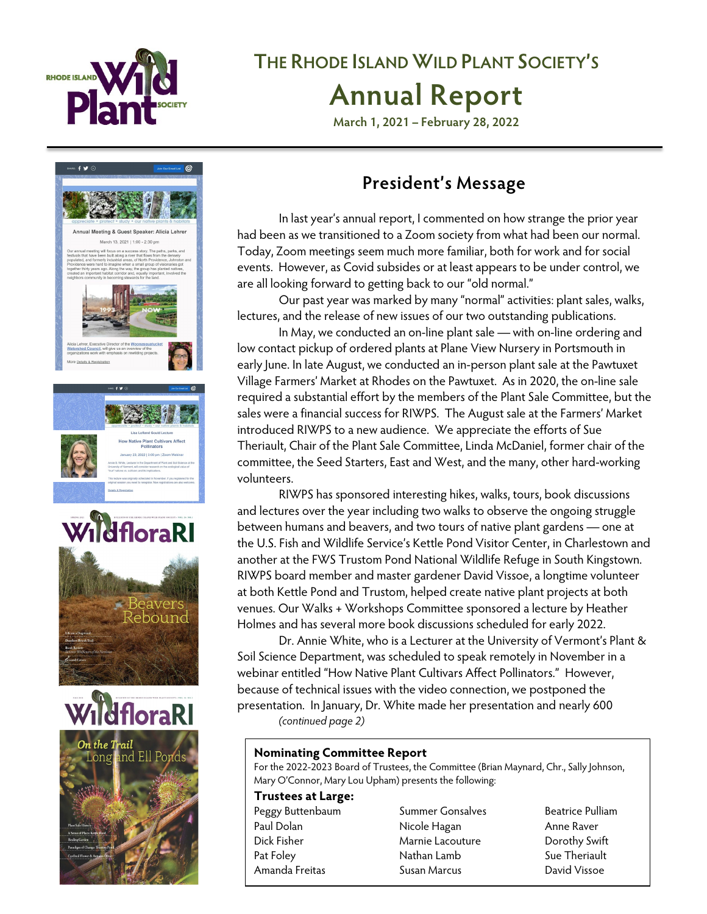

# **THE RHODE ISLAND WILD PLANT SOCIETY'S Annual Report**

**March 1, 2021 – February 28, 2022**



### **President's Message**

In last year's annual report, I commented on how strange the prior year had been as we transitioned to a Zoom society from what had been our normal. Today, Zoom meetings seem much more familiar, both for work and for social events. However, as Covid subsides or at least appears to be under control, we are all looking forward to getting back to our "old normal."

Our past year was marked by many "normal" activities: plant sales, walks, lectures, and the release of new issues of our two outstanding publications.

In May, we conducted an on-line plant sale — with on-line ordering and low contact pickup of ordered plants at Plane View Nursery in Portsmouth in early June. In late August, we conducted an in-person plant sale at the Pawtuxet Village Farmers' Market at Rhodes on the Pawtuxet. As in 2020, the on-line sale required a substantial effort by the members of the Plant Sale Committee, but the sales were a financial success for RIWPS. The August sale at the Farmers' Market introduced RIWPS to a new audience. We appreciate the efforts of Sue Theriault, Chair of the Plant Sale Committee, Linda McDaniel, former chair of the committee, the Seed Starters, East and West, and the many, other hard-working volunteers.

RIWPS has sponsored interesting hikes, walks, tours, book discussions and lectures over the year including two walks to observe the ongoing struggle between humans and beavers, and two tours of native plant gardens — one at the U.S. Fish and Wildlife Service's Kettle Pond Visitor Center, in Charlestown and another at the FWS Trustom Pond National Wildlife Refuge in South Kingstown. RIWPS board member and master gardener David Vissoe, a longtime volunteer at both Kettle Pond and Trustom, helped create native plant projects at both venues. Our Walks + Workshops Committee sponsored a lecture by Heather Holmes and has several more book discussions scheduled for early 2022.

Dr. Annie White, who is a Lecturer at the University of Vermont's Plant & Soil Science Department, was scheduled to speak remotely in November in a webinar entitled "How Native Plant Cultivars Affect Pollinators." However, because of technical issues with the video connection, we postponed the presentation. In January, Dr. White made her presentation and nearly 600 *(continued page 2)*

### **Nominating Committee Report**

For the 2022-2023 Board of Trustees, the Committee (Brian Maynard, Chr., Sally Johnson, Mary O'Connor, Mary Lou Upham) presents the following:

### **Trustees at Large:**

- 
- Peggy Buttenbaum Summer Gonsalves Beatrice Pulliam Paul Dolan **Nicole Hagan** Anne Raver Dick Fisher Marnie Lacouture Dorothy Swift Pat Foley **Nathan Lamb** Sue Theriault Amanda Freitas Susan Marcus David Vissoe
	-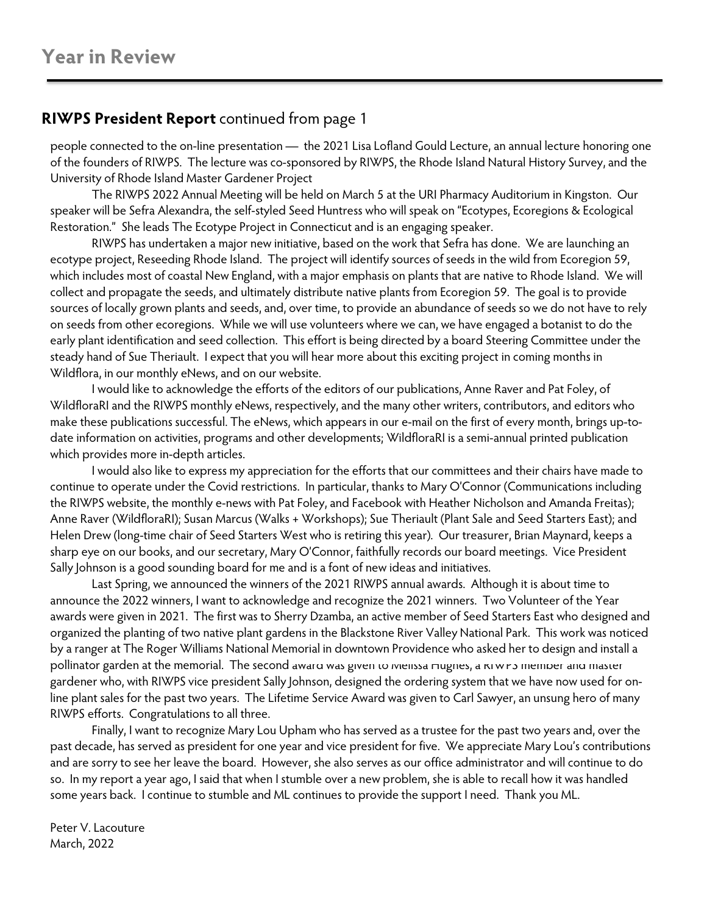### **RIWPS President Report** continued from page 1

people connected to the on-line presentation — the 2021 Lisa Lofland Gould Lecture, an annual lecture honoring one of the founders of RIWPS. The lecture was co-sponsored by RIWPS, the Rhode Island Natural History Survey, and the University of Rhode Island Master Gardener Project

The RIWPS 2022 Annual Meeting will be held on March 5 at the URI Pharmacy Auditorium in Kingston. Our speaker will be Sefra Alexandra, the self-styled Seed Huntress who will speak on "Ecotypes, Ecoregions & Ecological Restoration." She leads The Ecotype Project in Connecticut and is an engaging speaker.

RIWPS has undertaken a major new initiative, based on the work that Sefra has done. We are launching an ecotype project, Reseeding Rhode Island. The project will identify sources of seeds in the wild from Ecoregion 59, which includes most of coastal New England, with a major emphasis on plants that are native to Rhode Island. We will collect and propagate the seeds, and ultimately distribute native plants from Ecoregion 59. The goal is to provide sources of locally grown plants and seeds, and, over time, to provide an abundance of seeds so we do not have to rely on seeds from other ecoregions. While we will use volunteers where we can, we have engaged a botanist to do the early plant identification and seed collection. This effort is being directed by a board Steering Committee under the steady hand of Sue Theriault. I expect that you will hear more about this exciting project in coming months in Wildflora, in our monthly eNews, and on our website.

I would like to acknowledge the efforts of the editors of our publications, Anne Raver and Pat Foley, of WildfloraRI and the RIWPS monthly eNews, respectively, and the many other writers, contributors, and editors who make these publications successful. The eNews, which appears in our e-mail on the first of every month, brings up-todate information on activities, programs and other developments; WildfloraRI is a semi-annual printed publication which provides more in-depth articles.

I would also like to express my appreciation for the efforts that our committees and their chairs have made to continue to operate under the Covid restrictions. In particular, thanks to Mary O'Connor (Communications including the RIWPS website, the monthly e-news with Pat Foley, and Facebook with Heather Nicholson and Amanda Freitas); Anne Raver (WildfloraRI); Susan Marcus (Walks + Workshops); Sue Theriault (Plant Sale and Seed Starters East); and Helen Drew (long-time chair of Seed Starters West who is retiring this year). Our treasurer, Brian Maynard, keeps a sharp eye on our books, and our secretary, Mary O'Connor, faithfully records our board meetings. Vice President Sally Johnson is a good sounding board for me and is a font of new ideas and initiatives.

Last Spring, we announced the winners of the 2021 RIWPS annual awards. Although it is about time to announce the 2022 winners, I want to acknowledge and recognize the 2021 winners. Two Volunteer of the Year awards were given in 2021. The first was to Sherry Dzamba, an active member of Seed Starters East who designed and organized the planting of two native plant gardens in the Blackstone River Valley National Park. This work was noticed by a ranger at The Roger Williams National Memorial in downtown Providence who asked her to design and install a pollinator garden at the memorial. The second award was given to Meiissa Hugnes, a KIWPS member and master gardener who, with RIWPS vice president Sally Johnson, designed the ordering system that we have now used for online plant sales for the past two years. The Lifetime Service Award was given to Carl Sawyer, an unsung hero of many RIWPS efforts. Congratulations to all three.

Finally, I want to recognize Mary Lou Upham who has served as a trustee for the past two years and, over the past decade, has served as president for one year and vice president for five. We appreciate Mary Lou's contributions and are sorry to see her leave the board. However, she also serves as our office administrator and will continue to do so. In my report a year ago, I said that when I stumble over a new problem, she is able to recall how it was handled some years back. I continue to stumble and ML continues to provide the support I need. Thank you ML.

Peter V. Lacouture March, 2022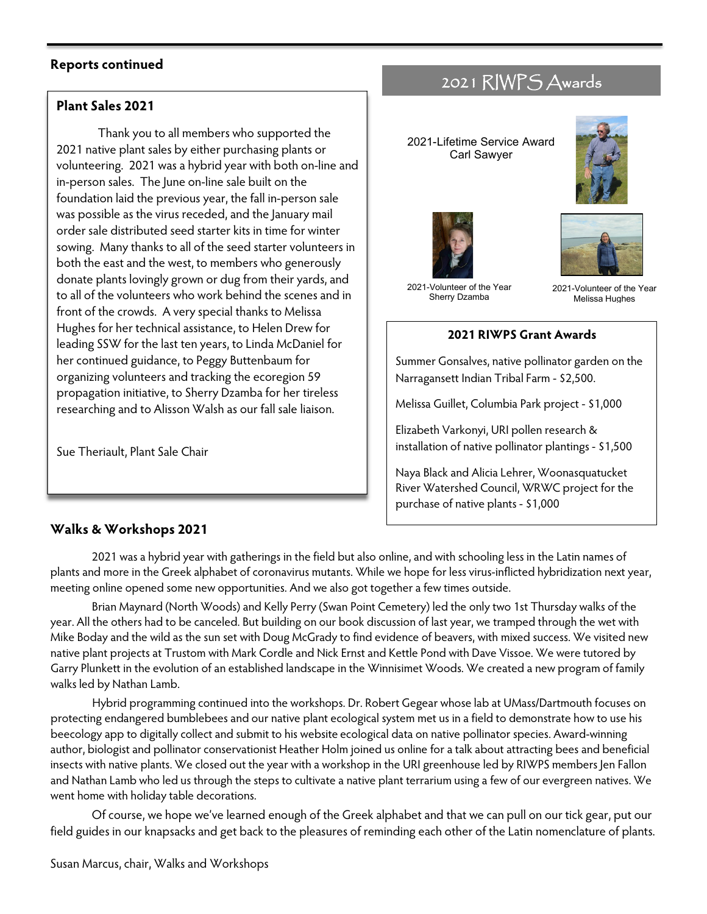### **Reports continued**

### **Plant Sales 2021**

Thank you to all members who supported the 2021 native plant sales by either purchasing plants or volunteering. 2021 was a hybrid year with both on-line and in-person sales. The June on-line sale built on the foundation laid the previous year, the fall in-person sale was possible as the virus receded, and the January mail order sale distributed seed starter kits in time for winter sowing. Many thanks to all of the seed starter volunteers in both the east and the west, to members who generously donate plants lovingly grown or dug from their yards, and to all of the volunteers who work behind the scenes and in front of the crowds. A very special thanks to Melissa Hughes for her technical assistance, to Helen Drew for leading SSW for the last ten years, to Linda McDaniel for her continued guidance, to Peggy Buttenbaum for organizing volunteers and tracking the ecoregion 59 propagation initiative, to Sherry Dzamba for her tireless researching and to Alisson Walsh as our fall sale liaison.

Sue Theriault, Plant Sale Chair

### 2021 RIWPS Awards

2021-Lifetime Service Award Carl Sawyer







2021-Volunteer of the Year Sherry Dzamba

2021-Volunteer of the Year Melissa Hughes

#### **2021 RIWPS Grant Awards**

Summer Gonsalves, native pollinator garden on the Narragansett Indian Tribal Farm - \$2,500.

Melissa Guillet, Columbia Park project - \$1,000

Elizabeth Varkonyi, URI pollen research & installation of native pollinator plantings - \$1,500

Naya Black and Alicia Lehrer, Woonasquatucket River Watershed Council, WRWC project for the purchase of native plants - \$1,000

### **Walks & Workshops 2021**

2021 was a hybrid year with gatherings in the field but also online, and with schooling less in the Latin names of plants and more in the Greek alphabet of coronavirus mutants. While we hope for less virus-inflicted hybridization next year, meeting online opened some new opportunities. And we also got together a few times outside.

Brian Maynard (North Woods) and Kelly Perry (Swan Point Cemetery) led the only two 1st Thursday walks of the year. All the others had to be canceled. But building on our book discussion of last year, we tramped through the wet with Mike Boday and the wild as the sun set with Doug McGrady to find evidence of beavers, with mixed success. We visited new native plant projects at Trustom with Mark Cordle and Nick Ernst and Kettle Pond with Dave Vissoe. We were tutored by Garry Plunkett in the evolution of an established landscape in the Winnisimet Woods. We created a new program of family walks led by Nathan Lamb.

Hybrid programming continued into the workshops. Dr. Robert Gegear whose lab at UMass/Dartmouth focuses on protecting endangered bumblebees and our native plant ecological system met us in a field to demonstrate how to use his beecology app to digitally collect and submit to his website ecological data on native pollinator species. Award-winning author, biologist and pollinator conservationist Heather Holm joined us online for a talk about attracting bees and beneficial insects with native plants. We closed out the year with a workshop in the URI greenhouse led by RIWPS members Jen Fallon and Nathan Lamb who led us through the steps to cultivate a native plant terrarium using a few of our evergreen natives. We went home with holiday table decorations.

Of course, we hope we've learned enough of the Greek alphabet and that we can pull on our tick gear, put our field guides in our knapsacks and get back to the pleasures of reminding each other of the Latin nomenclature of plants.